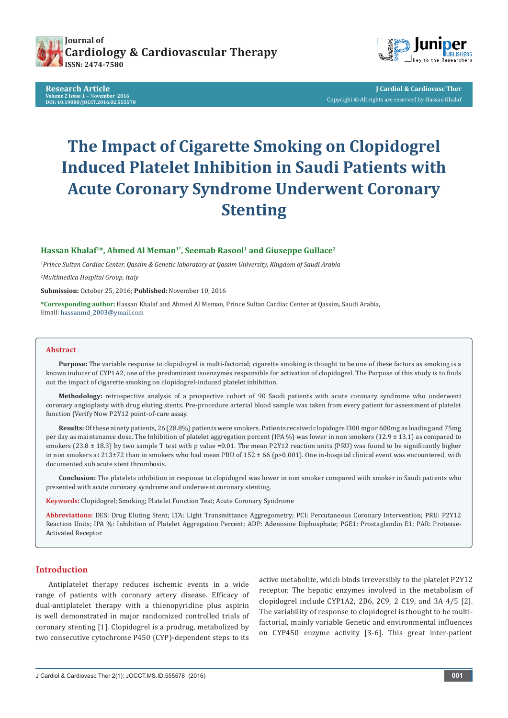





**J Cardiol & Cardiovasc Ther** Copyright © All rights are reserved by Hassan Khalaf

# **The Impact of Cigarette Smoking on Clopidogrel Induced Platelet Inhibition in Saudi Patients with Acute Coronary Syndrome Underwent Coronary Stenting**

# **Hassan Khalaf1\*, Ahmed Al Meman1\*, Seemab Rasool1 and Giuseppe Gullace2**

*1 Prince Sultan Cardiac Center, Qassim & Genetic laboratory at Qassim University, Kingdom of Saudi Arabia*

*2 Multimedica Hospital Group, Italy*

**Submission:** October 25, 2016; **Published:** November 10, 2016

**\*Corresponding author:** Hassan Khalaf and Ahmed Al Meman, Prince Sultan Cardiac Center at Qassim, Saudi Arabia, Email: hassanmd\_2003@ymail.com

#### **Abstract**

**Purpose:** The variable response to clopidogrel is multi-factorial; cigarette smoking is thought to be one of these factors as smoking is a known inducer of CYP1A2, one of the predominant isoenzymes responsible for activation of clopidogrel. The Purpose of this study is to finds out the impact of cigarette smoking on clopidogrel-induced platelet inhibition.

**Methodology:** retrospective analysis of a prospective cohort of 90 Saudi patients with acute coronary syndrome who underwent coronary angioplasty with drug eluting stents. Pre-procedure arterial blood sample was taken from every patient for assessment of platelet function (Verify Now P2Y12 point-of-care assay.

**Results:** Of these ninety patients, 26 (28.8%) patients were smokers. Patients received clopidogre l300 mg or 600mg as loading and 75mg per day as maintenance dose. The Inhibition of platelet aggregation percent (IPA %) was lower in non smokers (12.9  $\pm$  13.1) as compared to smokers (23.8  $\pm$  18.3) by two sample T test with p value =0.01. The mean P2Y12 reaction units (PRU) was found to be significantly higher in non smokers at 213±72 than in smokers who had mean PRU of  $152 \pm 66$  (p>0.001). One in-hospital clinical event was encountered, with documented sub acute stent thrombosis.

**Conclusion:** The platelets inhibition in response to clopidogrel was lower in non smoker compared with smoker in Saudi patients who presented with acute coronary syndrome and underwent coronary stenting.

**Keywords:** Clopidogrel; Smoking; Platelet Function Test; Acute Coronary Syndrome

**Abbreviations:** DES: Drug Eluting Stent; LTA: Light Transmittance Aggregometry; PCI: Percutaneous Coronary Intervention; PRU: P2Y12 Reaction Units; IPA %: Inhibition of Platelet Aggregation Percent; ADP: Adenosine Diphosphate; PGE1: Prostaglandin E1; PAR: Protease-Activated Receptor

## **Introduction**

Antiplatelet therapy reduces ischemic events in a wide range of patients with coronary artery disease. Efficacy of dual-antiplatelet therapy with a thienopyridine plus aspirin is well demonstrated in major randomized controlled trials of coronary stenting [1]. Clopidogrel is a prodrug, metabolized by two consecutive cytochrome P450 (CYP)-dependent steps to its

active metabolite, which binds irreversibly to the platelet P2Y12 receptor. The hepatic enzymes involved in the metabolism of clopidogrel include CYP1A2, 2B6, 2C9, 2 C19, and 3A 4/5 [2]. The variability of response to clopidogrel is thought to be multifactorial, mainly variable Genetic and environmental influences on CYP450 enzyme activity [3-6]. This great inter-patient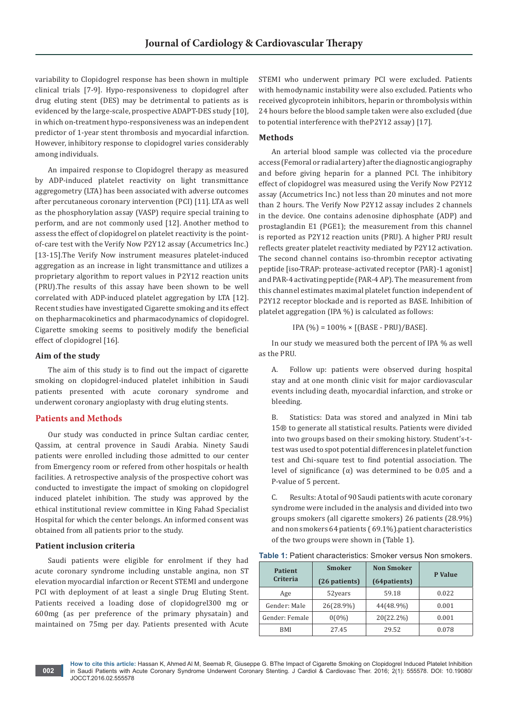variability to Clopidogrel response has been shown in multiple clinical trials [7-9]. Hypo-responsiveness to clopidogrel after drug eluting stent (DES) may be detrimental to patients as is evidenced by the large-scale, prospective ADAPT-DES study [10], in which on-treatment hypo-responsiveness was an independent predictor of 1-year stent thrombosis and myocardial infarction. However, inhibitory response to clopidogrel varies considerably among individuals.

An impaired response to Clopidogrel therapy as measured by ADP-induced platelet reactivity on light transmittance aggregometry (LTA) has been associated with adverse outcomes after percutaneous coronary intervention (PCI) [11]. LTA as well as the phosphorylation assay (VASP) require special training to perform, and are not commonly used [12]. Another method to assess the effect of clopidogrel on platelet reactivity is the pointof-care test with the Verify Now P2Y12 assay (Accumetrics Inc.) [13-15].The Verify Now instrument measures platelet-induced aggregation as an increase in light transmittance and utilizes a proprietary algorithm to report values in P2Y12 reaction units (PRU).The results of this assay have been shown to be well correlated with ADP-induced platelet aggregation by LTA [12]. Recent studies have investigated Cigarette smoking and its effect on thepharmacokinetics and pharmacodynamics of clopidogrel. Cigarette smoking seems to positively modify the beneficial effect of clopidogrel [16].

#### **Aim of the study**

The aim of this study is to find out the impact of cigarette smoking on clopidogrel-induced platelet inhibition in Saudi patients presented with acute coronary syndrome and underwent coronary angioplasty with drug eluting stents.

#### **Patients and Methods**

Our study was conducted in prince Sultan cardiac center, Qassim, at central provence in Saudi Arabia. Ninety Saudi patients were enrolled including those admitted to our center from Emergency room or refered from other hospitals or health facilities. A retrospective analysis of the prospective cohort was conducted to investigate the impact of smoking on clopidogrel induced platelet inhibition. The study was approved by the ethical institutional review committee in King Fahad Specialist Hospital for which the center belongs. An informed consent was obtained from all patients prior to the study.

#### **Patient inclusion criteria**

Saudi patients were eligible for enrolment if they had acute coronary syndrome including unstable angina, non ST elevation myocardial infarction or Recent STEMI and undergone PCI with deployment of at least a single Drug Eluting Stent. Patients received a loading dose of clopidogrel300 mg or 600mg (as per preference of the primary physatain) and maintained on 75mg per day. Patients presented with Acute

STEMI who underwent primary PCI were excluded. Patients with hemodynamic instability were also excluded. Patients who received glycoprotein inhibitors, heparin or thrombolysis within 24 hours before the blood sample taken were also excluded (due to potential interference with theP2Y12 assay) [17].

#### **Methods**

An arterial blood sample was collected via the procedure access (Femoral or radial artery) after the diagnostic angiography and before giving heparin for a planned PCI. The inhibitory effect of clopidogrel was measured using the Verify Now P2Y12 assay (Accumetrics Inc.) not less than 20 minutes and not more than 2 hours. The Verify Now P2Y12 assay includes 2 channels in the device. One contains adenosine diphosphate (ADP) and prostaglandin E1 (PGE1); the measurement from this channel is reported as P2Y12 reaction units (PRU). A higher PRU result reflects greater platelet reactivity mediated by P2Y12 activation. The second channel contains iso-thrombin receptor activating peptide [iso-TRAP: protease-activated receptor (PAR)-1 agonist] and PAR-4 activating peptide (PAR-4 AP). The measurement from this channel estimates maximal platelet function independent of P2Y12 receptor blockade and is reported as BASE. Inhibition of platelet aggregation (IPA %) is calculated as follows:

IPA  $(\% ) = 100\% \times [(BASE - PRU)/BASE].$ 

In our study we measured both the percent of IPA % as well as the PRU.

A. Follow up: patients were observed during hospital stay and at one month clinic visit for major cardiovascular events including death, myocardial infarction, and stroke or bleeding.

B. Statistics: Data was stored and analyzed in Mini tab 15® to generate all statistical results. Patients were divided into two groups based on their smoking history. Student's-ttest was used to spot potential differences in platelet function test and Chi-square test to find potential association. The level of significance (α) was determined to be 0.05 and a P-value of 5 percent.

C. Results: A total of 90 Saudi patients with acute coronary syndrome were included in the analysis and divided into two groups smokers (all cigarette smokers) 26 patients (28.9%) and non smokers 64 patients ( 69.1%).patient characteristics of the two groups were shown in (Table 1).

| <b>Table 1:</b> Patient characteristics: Smoker versus Non smokers. |  |
|---------------------------------------------------------------------|--|
|---------------------------------------------------------------------|--|

| <b>Patient</b><br>Criteria | <b>Smoker</b><br>(26 patients) | <b>Non Smoker</b><br>(64patients) | P Value |
|----------------------------|--------------------------------|-----------------------------------|---------|
| Age                        | 52years                        | 59.18                             | 0.022   |
| Gender: Male               | 26(28.9%)                      | 44(48.9%)                         | 0.001   |
| Gender: Female             | $0(0\%)$                       | 20(22.2%)                         | 0.001   |
| <b>BMI</b>                 | 27.45                          | 29.52                             | 0.078   |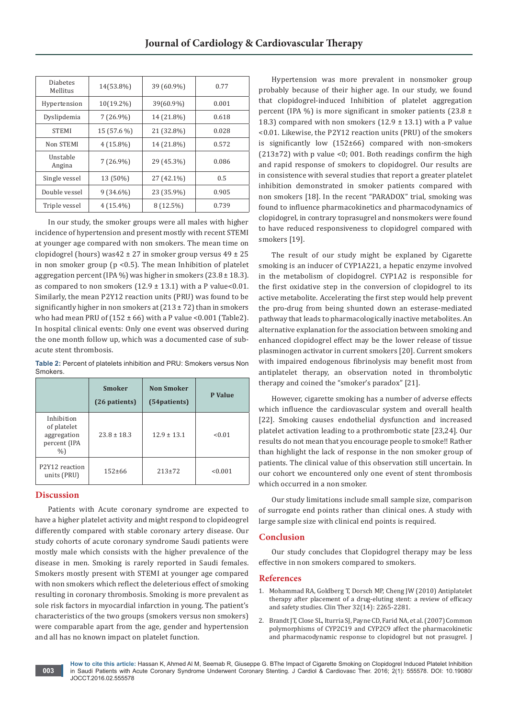| Diabetes<br>Mellitus | 14(53.8%)    | 39 (60.9%)  | 0.77  |
|----------------------|--------------|-------------|-------|
| Hypertension         | $10(19.2\%)$ | 39(60.9%)   | 0.001 |
| Dyslipdemia          | $7(26.9\%)$  | 14 (21.8%)  | 0.618 |
| <b>STEMI</b>         | 15 (57.6 %)  | 21 (32.8%)  | 0.028 |
| Non STEMI            | $4(15.8\%)$  | 14 (21.8%)  | 0.572 |
| Unstable<br>Angina   | $7(26.9\%)$  | 29 (45.3%)  | 0.086 |
| Single vessel        | 13 (50%)     | 27 (42.1%)  | 0.5   |
| Double vessel        | $9(34.6\%)$  | 23 (35.9%)  | 0.905 |
| Triple vessel        | $4(15.4\%)$  | $8(12.5\%)$ | 0.739 |

In our study, the smoker groups were all males with higher incidence of hypertension and present mostly with recent STEMI at younger age compared with non smokers. The mean time on clopidogrel (hours) was  $42 \pm 27$  in smoker group versus  $49 \pm 25$ in non smoker group ( $p < 0.5$ ). The mean Inhibition of platelet aggregation percent (IPA %) was higher in smokers (23.8  $\pm$  18.3). as compared to non smokers  $(12.9 \pm 13.1)$  with a P value<0.01. Similarly, the mean P2Y12 reaction units (PRU) was found to be significantly higher in non smokers at  $(213 \pm 72)$  than in smokers who had mean PRU of  $(152 \pm 66)$  with a P value <0.001 (Table2). In hospital clinical events: Only one event was observed during the one month follow up, which was a documented case of subacute stent thrombosis.

**Table 2:** Percent of platelets inhibition and PRU: Smokers versus Non **Smokers** 

|                                                               | <b>Smoker</b><br>(26 patients) | <b>Non Smoker</b><br>(54patients) | P Value |
|---------------------------------------------------------------|--------------------------------|-----------------------------------|---------|
| Inhibition<br>of platelet<br>aggregation<br>percent (IPA<br>% | $23.8 \pm 18.3$                | $12.9 \pm 13.1$                   | < 0.01  |
| P <sub>2</sub> Y <sub>12</sub> reaction<br>units (PRU)        | $152 + 66$                     | $213+72$                          | < 0.001 |

# **Discussion**

**003**

Patients with Acute coronary syndrome are expected to have a higher platelet activity and might respond to clopideogrel differently compared with stable coronary artery disease. Our study cohorts of acute coronary syndrome Saudi patients were mostly male which consists with the higher prevalence of the disease in men. Smoking is rarely reported in Saudi females. Smokers mostly present with STEMI at younger age compared with non smokers which reflect the deleterious effect of smoking resulting in coronary thrombosis. Smoking is more prevalent as sole risk factors in myocardial infarction in young. The patient's characteristics of the two groups (smokers versus non smokers) were comparable apart from the age, gender and hypertension and all has no known impact on platelet function.

Hypertension was more prevalent in nonsmoker group probably because of their higher age. In our study, we found that clopidogrel-induced Inhibition of platelet aggregation percent (IPA %) is more significant in smoker patients (23.8  $\pm$ 18.3) compared with non smokers  $(12.9 \pm 13.1)$  with a P value <0.01. Likewise, the P2Y12 reaction units (PRU) of the smokers is significantly low (152±66) compared with non-smokers  $(213±72)$  with p value <0; 001. Both readings confirm the high and rapid response of smokers to clopidogrel. Our results are in consistence with several studies that report a greater platelet inhibition demonstrated in smoker patients compared with non smokers [18]. In the recent "PARADOX" trial, smoking was found to influence pharmacokinetics and pharmacodynamics of clopidogrel, in contrary toprasugrel and nonsmokers were found to have reduced responsiveness to clopidogrel compared with smokers [19].

The result of our study might be explaned by Cigarette smoking is an inducer of CYP1A221, a hepatic enzyme involved in the metabolism of clopidogrel. CYP1A2 is responsible for the first oxidative step in the conversion of clopidogrel to its active metabolite. Accelerating the first step would help prevent the pro-drug from being shunted down an esterase-mediated pathway that leads to pharmacologically inactive metabolites. An alternative explanation for the association between smoking and enhanced clopidogrel effect may be the lower release of tissue plasminogen activator in current smokers [20]. Current smokers with impaired endogenous fibrinolysis may benefit most from antiplatelet therapy, an observation noted in thrombolytic therapy and coined the "smoker's paradox" [21].

However, cigarette smoking has a number of adverse effects which influence the cardiovascular system and overall health [22]. Smoking causes endothelial dysfunction and increased platelet activation leading to a prothrombotic state [23,24]. Our results do not mean that you encourage people to smoke!! Rather than highlight the lack of response in the non smoker group of patients. The clinical value of this observation still uncertain. In our cohort we encountered only one event of stent thrombosis which occurred in a non smoker.

Our study limitations include small sample size, comparison of surrogate end points rather than clinical ones. A study with large sample size with clinical end points is required.

# **Conclusion**

Our study concludes that Clopidogrel therapy may be less effective in non smokers compared to smokers.

## **References**

- 1. [Mohammad RA, Goldberg T, Dorsch MP, Cheng JW \(2010\) Antiplatelet](https://www.ncbi.nlm.nih.gov/pubmed/21353100)  [therapy after placement of a drug-eluting stent: a review of efficacy](https://www.ncbi.nlm.nih.gov/pubmed/21353100)  [and safety studies. Clin Ther 32\(14\): 2265-2281.](https://www.ncbi.nlm.nih.gov/pubmed/21353100)
- 2. [Brandt JT, Close SL, Iturria SJ, Payne CD, Farid NA, et al. \(2007\) Common](https://www.ncbi.nlm.nih.gov/pubmed/17900275)  [polymorphisms of CYP2C19 and CYP2C9 affect the pharmacokinetic](https://www.ncbi.nlm.nih.gov/pubmed/17900275)  [and pharmacodynamic response to clopidogrel but not prasugrel. J](https://www.ncbi.nlm.nih.gov/pubmed/17900275)